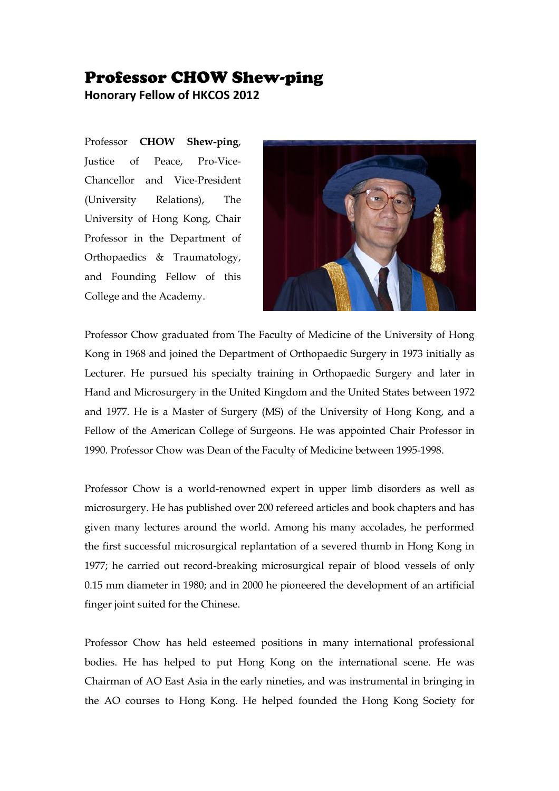## Professor CHOW Shew-ping

**Honorary Fellow of HKCOS 2012**

Professor **CHOW Shew-ping**, Justice of Peace, Pro-Vice-Chancellor and Vice-President (University Relations), The University of Hong Kong, Chair Professor in the Department of Orthopaedics & Traumatology, and Founding Fellow of this College and the Academy.



Professor Chow graduated from The Faculty of Medicine of the University of Hong Kong in 1968 and joined the Department of Orthopaedic Surgery in 1973 initially as Lecturer. He pursued his specialty training in Orthopaedic Surgery and later in Hand and Microsurgery in the United Kingdom and the United States between 1972 and 1977. He is a Master of Surgery (MS) of the University of Hong Kong, and a Fellow of the American College of Surgeons. He was appointed Chair Professor in 1990. Professor Chow was Dean of the Faculty of Medicine between 1995-1998.

Professor Chow is a world-renowned expert in upper limb disorders as well as microsurgery. He has published over 200 refereed articles and book chapters and has given many lectures around the world. Among his many accolades, he performed the first successful microsurgical replantation of a severed thumb in Hong Kong in 1977; he carried out record-breaking microsurgical repair of blood vessels of only 0.15 mm diameter in 1980; and in 2000 he pioneered the development of an artificial finger joint suited for the Chinese.

Professor Chow has held esteemed positions in many international professional bodies. He has helped to put Hong Kong on the international scene. He was Chairman of AO East Asia in the early nineties, and was instrumental in bringing in the AO courses to Hong Kong. He helped founded the Hong Kong Society for